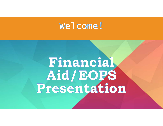## Welcome!

# Financial Aid/EOPS<br>Presentation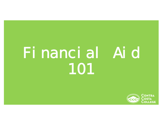## Financial Aid 101

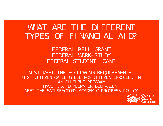## WHAT ARE THE DIFFERENT TYPES OF FINANCIAL AID?

FEDERAL PELL GRANTFEDERAL WORK-STUDYFEDERAL STUDENT LOANS

MUST MEET THE FOLLOWING REQUIREMENTS:U.S. CITIZEN OR ELIGIBLE NON-CITIZEN ENROLLED IN AN ELIGIBLE PROGRAMHAVE H.S. DIPLOMA OR EQUIVALENTMEET THE SATISFACTORY ACADEMIC PROGRESS POLICY

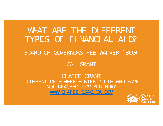## WHAT ARE THE DIFFERENT TYPES OF FINANCIAL AID?

#### BOARD OF GOVERNORS FEE WAIVER (BOG)

#### CAL GRANT

CHAFEE GRANT-CURRENT OR FORMER FOSTER YOUTH WHO HAVE NOT REACHED 22<sup>ND</sup> BIRTHDAY WWW. CHAFEE. CSAC. CA. GOV

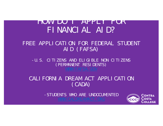### HOW DO I APPLY FOR FINANCIAL AID?

#### FREE APPLICATION FOR FEDERAL STUDENT AID (FAFSA)

-U.S. CITIZENS AND ELIGIBLE NON CITIZENS (PERMANENT RESIDENTS)

#### CALIFORNIA DREAM ACT APPLICATION (CADA)

-STUDENTS WHO ARE UNDOCUMENTED

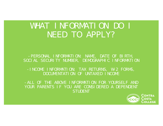## WHAT INFORMATION DO I NEED TO APPLY?

-PERSONAL INFORMATION: NAME, DATE OF BIRTH, SOCIAL SECURITY NUMBER, DEMOGRAPHIC INFORMATION

-INCOME INFORMATION: TAX RETURNS, W-2 FORMS, DOCUMENTATION OF UNTAXED INCOME

-ALL OF THE ABOVE INFORMATION FOR YOURSELF AND YOUR PARENTS IF YOU ARE CONSIDERED A DEPENDENT STUDENT

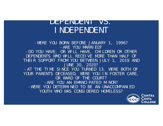### DEPENDENT VS. INDEPENDENT

-WERE YOU BORN BEFORE JANUARY 1, 1996? -ARE YOU MARRIED?-DO YOU HAVE, OR WILL HAVE, CHILDREN OR OTHER DEPENDENTS WHO WILL RECEIVE MORE THAN HALF OF THEIR SUPPORT FROM YOU BETWEEN JULY 1, 2019 AND JUNE 30, 2020? -AT THE TIME SINCE YOU TURNED 13, WERE BOTH OF YOUR PARENTS DECEASED, WERE YOU IN FOSTER CARE, OR WARD OF THE COURT?-ARE YOU AN EMANCIPATED MINOR? -WERE YOU DETERMINED TO BE AN UNACCOMPANIED YOUTH WHO WAS CONSIDERED HOMELESS?

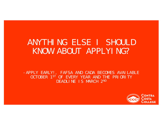## ANYTHING ELSE I SHOULD KNOW ABOUT APPLYING?

-APPLY EARLY!, FAFSA AND CADA BECOMES AVAILABLE OCTOBER 1ST OF EVERY YEAR AND THE PRIORITY DEADLINE IS MARCH 2ND

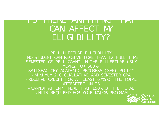#### I J THERE ANYTHING THAT CAN AFFECT MY ELIGIBILITY?

PELL LIFETIME ELIGIBILITY -NO STUDENT CAN RECEIVE MORE THAN 12 FULL-TIME SEMESTER OF PELL GRANT IN THEIR LIFETIME (SIX YEARS, OR 600%) SATI SFACTORY ACADEMIC PROGRESS (SAP) POLICY -MINIMUM 2.0 CUMULATIVE AND SEMESTER GPA -RECEIVE CREDIT FOR AT LEAST 67% OF THE TOTAL ATTEMPTED UNITS-CANNOT ATTEMPT MORE THAT 150% OF THE TOTAL UNITS REQUIRED FOR YOUR MAJOR/PROGRAMCONTRA

> Costa COLLEGE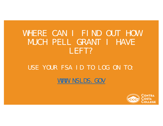## WHERE CAN I FIND OUT HOW MUCH PELL GRANT I HAVE LEFT?

#### USE YOUR FSA ID TO LOG ON TO:

#### WWW. NSLDS. GOV

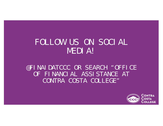## FOLLOW US ON SOCIAL MEDIA!

@FINAIDATCCC OR SEARCH "OFFICE OF FINANCIAL ASSISTANCE AT CONTRA COSTA COLLEGE"

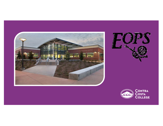



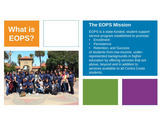## **What is EOPS?**



#### **The EOPS Mission**

EOPS is a state-funded, student support service program established to promote:

- $\bullet$ **Enrollment**
- •**Persistence**

 $\bullet$  Retention, and Success of students from low-income, underrepresented backgrounds in higher education by offering services that are above, beyond and in addition to services available to all Contra Costa students.



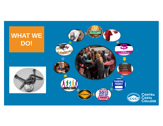## **WHAT WE DO!**



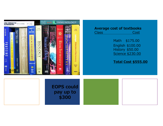

#### **Average cost of textbooks**

| __<br>- - - |  |
|-------------|--|
|             |  |

Math \$175.00 English \$100.00 History \$50.00 Science \$230.00

**Total Cost \$555.00**

**EOPS could pay up to \$300**

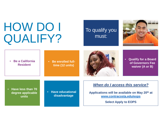## HOW DO I QUALIFY?

#### To qualify you must:



• **Be a California Resident** 

 **Be enrolled fulltime (12 units)**



• **Qualify for a Board of Governors Fee waiver (A or B)**

• **Have less than 70 degree applicable units** 

• **Have educational disadvantage**

#### *When do I access this service?*

**Applications will be available on May 20th at www.contracosta.edu/eops**

**Select Apply to EOPS**